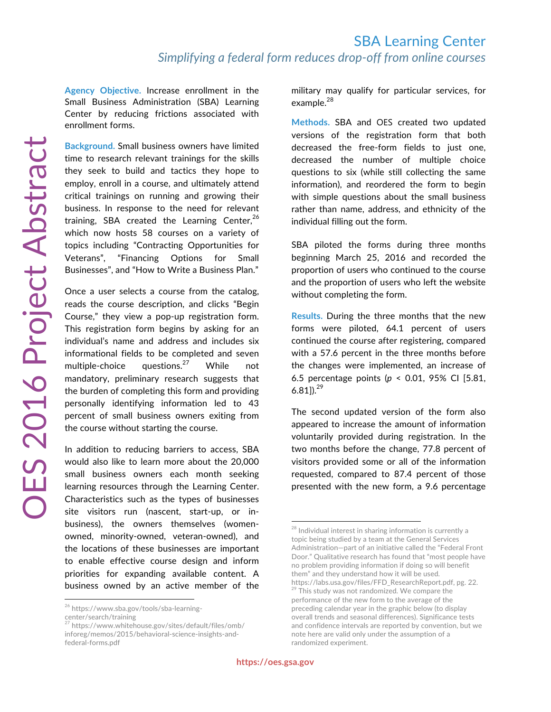**Agency Objective.** Increase enrollment in the Small Business Administration (SBA) Learning Center by reducing frictions associated with enrollment forms.

**Background.** Small business owners have limited time to research relevant trainings for the skills they seek to build and tactics they hope to employ, enroll in a course, and ultimately attend critical trainings on running and growing their business. In response to the need for relevant training, SBA created the Learning Center, $26$ which now hosts 58 courses on a variety of topics including "Contracting Opportunities for Veterans", "Financing Options for Small Businesses", and "How to Write a Business Plan."

Once a user selects a course from the catalog, reads the course description, and clicks "Begin Course," they view a pop-up registration form. This registration form begins by asking for an individual's name and address and includes six informational fields to be completed and seven multiple-choice questions.<sup>27</sup> While not mandatory, preliminary research suggests that the burden of completing this form and providing personally identifying information led to 43 percent of small business owners exiting from the course without starting the course.

In addition to reducing barriers to access, SBA would also like to learn more about the 20,000 small business owners each month seeking learning resources through the Learning Center. Characteristics such as the types of businesses site visitors run (nascent, start-up, or inbusiness), the owners themselves (womenowned, minority-owned, veteran-owned), and the locations of these businesses are important to enable effective course design and inform priorities for expanding available content. A business owned by an active member of the

military may qualify for particular services, for example.<sup>28</sup>

**Methods.** SBA and OES created two updated versions of the registration form that both decreased the free-form fields to just one, decreased the number of multiple choice questions to six (while still collecting the same information), and reordered the form to begin with simple questions about the small business rather than name, address, and ethnicity of the individual filling out the form.

SBA piloted the forms during three months beginning March 25, 2016 and recorded the proportion of users who continued to the course and the proportion of users who left the website without completing the form.

**Results.** During the three months that the new forms were piloted, 64.1 percent of users continued the course after registering, compared with a 57.6 percent in the three months before the changes were implemented, an increase of 6.5 percentage points (*p* < 0.01, 95% CI [5.81, 6.81]).<sup>29</sup>

The second updated version of the form also appeared to increase the amount of information voluntarily provided during registration. In the two months before the change, 77.8 percent of visitors provided some or all of the information requested, compared to 87.4 percent of those presented with the new form, a 9.6 percentage

<sup>26</sup> https://www.sba.gov/tools/sba-learning-

center/search/training<br>
<sup>27</sup> ktt

https://www.whitehouse.gov/sites/default/files/omb/ inforeg/memos/2015/behavioral-science-insights-andfederal-forms.pdf

 $28$  Individual interest in sharing information is currently a topic being studied by a team at the General Services Administration—part of an initiative called the "Federal Front Door." Qualitative research has found that "most people have no problem providing information if doing so will benefit them" and they understand how it will be used. https://labs.usa.gov/files/FFD\_ResearchReport.pdf, pg. 22. <sup>29</sup> This study was not randomized. We compare the performance of the new form to the average of the preceding calendar year in the graphic below (to display overall trends and seasonal differences). Significance tests and confidence intervals are reported by convention, but we note here are valid only under the assumption of a randomized experiment.